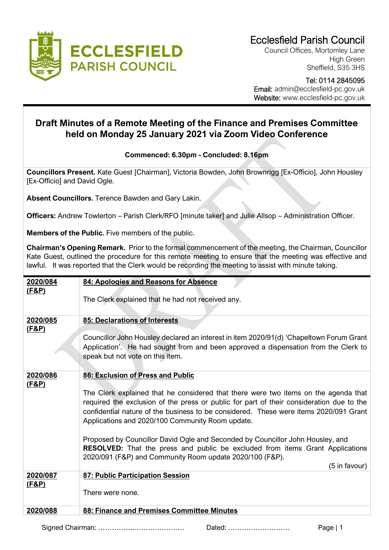

Council Offices, Mortomley Lane High Green Sheffield, S35 3HS

 Tel: 0114 2845095 Email: admin@ecclesfield-pc.gov.uk Website: www.ecclesfield-pc.gov.uk

## **Draft Minutes of a Remote Meeting of the Finance and Premises Committee held on Monday 25 January 2021 via Zoom Video Conference**

**Commenced: 6.30pm - Concluded: 8.16pm**

**Councillors Present.** Kate Guest [Chairman], Victoria Bowden, John Brownrigg [Ex-Officio], John Housley [Ex-Officio] and David Ogle.

**Absent Councillors.** Terence Bawden and Gary Lakin.

**Officers:** Andrew Towlerton – Parish Clerk/RFO [minute taker] and Julie Allsop – Administration Officer.

**Members of the Public.** Five members of the public.

**Chairman's Opening Remark.** Prior to the formal commencement of the meeting, the Chairman, Councillor Kate Guest, outlined the procedure for this remote meeting to ensure that the meeting was effective and lawful. It was reported that the Clerk would be recording the meeting to assist with minute taking.

| 2020/084         | 84: Apologies and Reasons for Absence                                                    |
|------------------|------------------------------------------------------------------------------------------|
| <u>(F&amp;P)</u> |                                                                                          |
|                  | The Clerk explained that he had not received any.                                        |
|                  |                                                                                          |
|                  |                                                                                          |
| 2020/085         | 85: Declarations of Interests                                                            |
|                  |                                                                                          |
| <u>(F&amp;P)</u> |                                                                                          |
|                  | Councillor John Housley declared an interest in item 2020/91(d) 'Chapeltown Forum Grant  |
|                  | Application'. He had sought from and been approved a dispensation from the Clerk to      |
|                  | speak but not vote on this item.                                                         |
|                  |                                                                                          |
|                  |                                                                                          |
| 2020/086         | 86: Exclusion of Press and Public                                                        |
| <u>(F&amp;P)</u> |                                                                                          |
|                  | The Clerk explained that he considered that there were two items on the agenda that      |
|                  |                                                                                          |
|                  | required the exclusion of the press or public for part of their consideration due to the |
|                  | confidential nature of the business to be considered. These were items 2020/091 Grant    |
|                  | Applications and 2020/100 Community Room update.                                         |
|                  |                                                                                          |
|                  |                                                                                          |
|                  | Proposed by Councillor David Ogle and Seconded by Councillor John Housley, and           |
|                  | <b>RESOLVED:</b> That the press and public be excluded from items Grant Applications     |
|                  | 2020/091 (F&P) and Community Room update 2020/100 (F&P).                                 |
|                  |                                                                                          |
|                  | (5 in favour)                                                                            |
| 2020/087         | 87: Public Participation Session                                                         |
| <u>(F&amp;P)</u> |                                                                                          |
|                  | There were none.                                                                         |
|                  |                                                                                          |
|                  |                                                                                          |
| 2020/088         | 88: Finance and Premises Committee Minutes                                               |
|                  |                                                                                          |

Signed Chairman: ………….....…………………. Dated: ……………………… Page | 1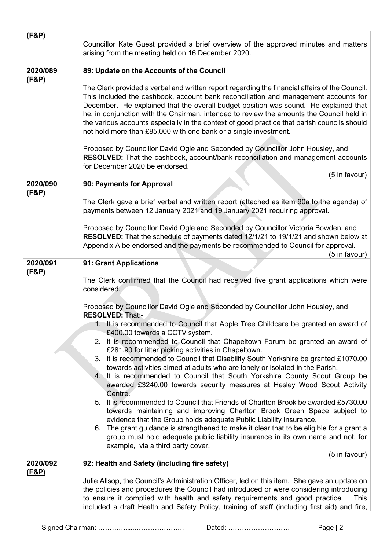| (F&P)            | Councillor Kate Guest provided a brief overview of the approved minutes and matters<br>arising from the meeting held on 16 December 2020.                                                                                                                                                                                                                                                                                                                                                                                                                                                                                                                                                                                                                                                                                                                                                                                                                                                                                                                                                                                                                                                        |
|------------------|--------------------------------------------------------------------------------------------------------------------------------------------------------------------------------------------------------------------------------------------------------------------------------------------------------------------------------------------------------------------------------------------------------------------------------------------------------------------------------------------------------------------------------------------------------------------------------------------------------------------------------------------------------------------------------------------------------------------------------------------------------------------------------------------------------------------------------------------------------------------------------------------------------------------------------------------------------------------------------------------------------------------------------------------------------------------------------------------------------------------------------------------------------------------------------------------------|
| 2020/089         | 89: Update on the Accounts of the Council                                                                                                                                                                                                                                                                                                                                                                                                                                                                                                                                                                                                                                                                                                                                                                                                                                                                                                                                                                                                                                                                                                                                                        |
| <u>(F&amp;P)</u> | The Clerk provided a verbal and written report regarding the financial affairs of the Council.<br>This included the cashbook, account bank reconciliation and management accounts for<br>December. He explained that the overall budget position was sound. He explained that<br>he, in conjunction with the Chairman, intended to review the amounts the Council held in<br>the various accounts especially in the context of good practice that parish councils should<br>not hold more than £85,000 with one bank or a single investment.                                                                                                                                                                                                                                                                                                                                                                                                                                                                                                                                                                                                                                                     |
|                  | Proposed by Councillor David Ogle and Seconded by Councillor John Housley, and<br>RESOLVED: That the cashbook, account/bank reconciliation and management accounts<br>for December 2020 be endorsed.<br>(5 in favour)                                                                                                                                                                                                                                                                                                                                                                                                                                                                                                                                                                                                                                                                                                                                                                                                                                                                                                                                                                            |
| 2020/090         | 90: Payments for Approval                                                                                                                                                                                                                                                                                                                                                                                                                                                                                                                                                                                                                                                                                                                                                                                                                                                                                                                                                                                                                                                                                                                                                                        |
| <u>(F&amp;P)</u> | The Clerk gave a brief verbal and written report (attached as item 90a to the agenda) of<br>payments between 12 January 2021 and 19 January 2021 requiring approval.                                                                                                                                                                                                                                                                                                                                                                                                                                                                                                                                                                                                                                                                                                                                                                                                                                                                                                                                                                                                                             |
|                  | Proposed by Councillor David Ogle and Seconded by Councillor Victoria Bowden, and<br>RESOLVED: That the schedule of payments dated 12/1/21 to 19/1/21 and shown below at<br>Appendix A be endorsed and the payments be recommended to Council for approval.<br>(5 in favour)                                                                                                                                                                                                                                                                                                                                                                                                                                                                                                                                                                                                                                                                                                                                                                                                                                                                                                                     |
| 2020/091         | 91: Grant Applications                                                                                                                                                                                                                                                                                                                                                                                                                                                                                                                                                                                                                                                                                                                                                                                                                                                                                                                                                                                                                                                                                                                                                                           |
| <u>(F&amp;P)</u> | The Clerk confirmed that the Council had received five grant applications which were<br>considered.                                                                                                                                                                                                                                                                                                                                                                                                                                                                                                                                                                                                                                                                                                                                                                                                                                                                                                                                                                                                                                                                                              |
|                  | Proposed by Councillor David Ogle and Seconded by Councillor John Housley, and<br><b>RESOLVED: That:-</b><br>1. It is recommended to Council that Apple Tree Childcare be granted an award of<br>£400.00 towards a CCTV system.<br>2. It is recommended to Council that Chapeltown Forum be granted an award of<br>£281.90 for litter picking activities in Chapeltown.<br>3. It is recommended to Council that Disability South Yorkshire be granted £1070.00<br>towards activities aimed at adults who are lonely or isolated in the Parish.<br>4. It is recommended to Council that South Yorkshire County Scout Group be<br>awarded £3240.00 towards security measures at Hesley Wood Scout Activity<br>Centre.<br>5. It is recommended to Council that Friends of Charlton Brook be awarded £5730.00<br>towards maintaining and improving Charlton Brook Green Space subject to<br>evidence that the Group holds adequate Public Liability Insurance.<br>6. The grant guidance is strengthened to make it clear that to be eligible for a grant a<br>group must hold adequate public liability insurance in its own name and not, for<br>example, via a third party cover.<br>(5 in favour) |
| 2020/092         | 92: Health and Safety (including fire safety)                                                                                                                                                                                                                                                                                                                                                                                                                                                                                                                                                                                                                                                                                                                                                                                                                                                                                                                                                                                                                                                                                                                                                    |
| <u>(F&amp;P)</u> | Julie Allsop, the Council's Administration Officer, led on this item. She gave an update on<br>the policies and procedures the Council had introduced or were considering introducing<br>to ensure it complied with health and safety requirements and good practice.<br>This<br>included a draft Health and Safety Policy, training of staff (including first aid) and fire,                                                                                                                                                                                                                                                                                                                                                                                                                                                                                                                                                                                                                                                                                                                                                                                                                    |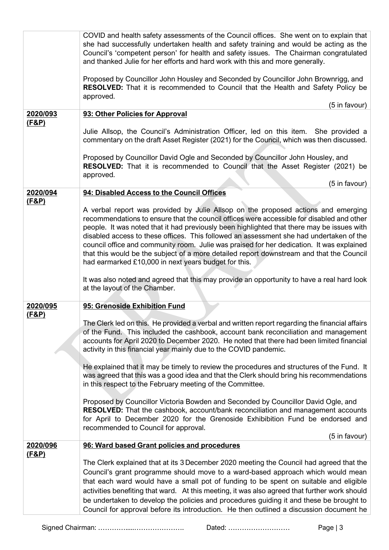| 2020/093<br><u>(F&amp;P)</u> | COVID and health safety assessments of the Council offices. She went on to explain that<br>she had successfully undertaken health and safety training and would be acting as the<br>Council's 'competent person' for health and safety issues. The Chairman congratulated<br>and thanked Julie for her efforts and hard work with this and more generally.<br>Proposed by Councillor John Housley and Seconded by Councillor John Brownrigg, and<br>RESOLVED: That it is recommended to Council that the Health and Safety Policy be<br>approved.<br>(5 in favour)<br>93: Other Policies for Approval<br>Julie Allsop, the Council's Administration Officer, led on this item. She provided a<br>commentary on the draft Asset Register (2021) for the Council, which was then discussed. |
|------------------------------|-------------------------------------------------------------------------------------------------------------------------------------------------------------------------------------------------------------------------------------------------------------------------------------------------------------------------------------------------------------------------------------------------------------------------------------------------------------------------------------------------------------------------------------------------------------------------------------------------------------------------------------------------------------------------------------------------------------------------------------------------------------------------------------------|
|                              | Proposed by Councillor David Ogle and Seconded by Councillor John Housley, and<br>RESOLVED: That it is recommended to Council that the Asset Register (2021) be<br>approved.<br>(5 in favour)                                                                                                                                                                                                                                                                                                                                                                                                                                                                                                                                                                                             |
| 2020/094                     | 94: Disabled Access to the Council Offices                                                                                                                                                                                                                                                                                                                                                                                                                                                                                                                                                                                                                                                                                                                                                |
| (F&P)                        | A verbal report was provided by Julie Allsop on the proposed actions and emerging<br>recommendations to ensure that the council offices were accessible for disabled and other<br>people. It was noted that it had previously been highlighted that there may be issues with<br>disabled access to these offices. This followed an assessment she had undertaken of the<br>council office and community room. Julie was praised for her dedication. It was explained<br>that this would be the subject of a more detailed report downstream and that the Council<br>had earmarked £10,000 in next years budget for this.<br>It was also noted and agreed that this may provide an opportunity to have a real hard look                                                                    |
|                              | at the layout of the Chamber.                                                                                                                                                                                                                                                                                                                                                                                                                                                                                                                                                                                                                                                                                                                                                             |
| 2020/095                     | 95: Grenoside Exhibition Fund                                                                                                                                                                                                                                                                                                                                                                                                                                                                                                                                                                                                                                                                                                                                                             |
| <u>(F&amp;P)</u>             | The Clerk led on this. He provided a verbal and written report regarding the financial affairs<br>of the Fund. This included the cashbook, account bank reconciliation and management<br>accounts for April 2020 to December 2020. He noted that there had been limited financial<br>activity in this financial year mainly due to the COVID pandemic.<br>He explained that it may be timely to review the procedures and structures of the Fund. It                                                                                                                                                                                                                                                                                                                                      |
|                              | was agreed that this was a good idea and that the Clerk should bring his recommendations<br>in this respect to the February meeting of the Committee.                                                                                                                                                                                                                                                                                                                                                                                                                                                                                                                                                                                                                                     |
|                              | Proposed by Councillor Victoria Bowden and Seconded by Councillor David Ogle, and<br><b>RESOLVED:</b> That the cashbook, account/bank reconciliation and management accounts<br>for April to December 2020 for the Grenoside Exhibibition Fund be endorsed and<br>recommended to Council for approval.<br>(5 in favour)                                                                                                                                                                                                                                                                                                                                                                                                                                                                   |
| 2020/096                     | 96: Ward based Grant policies and procedures                                                                                                                                                                                                                                                                                                                                                                                                                                                                                                                                                                                                                                                                                                                                              |
| <u>(F&amp;P)</u>             | The Clerk explained that at its 3 December 2020 meeting the Council had agreed that the<br>Council's grant programme should move to a ward-based approach which would mean<br>that each ward would have a small pot of funding to be spent on suitable and eligible<br>activities benefiting that ward. At this meeting, it was also agreed that further work should<br>be undertaken to develop the policies and procedures guiding it and these be brought to<br>Council for approval before its introduction. He then outlined a discussion document he                                                                                                                                                                                                                                |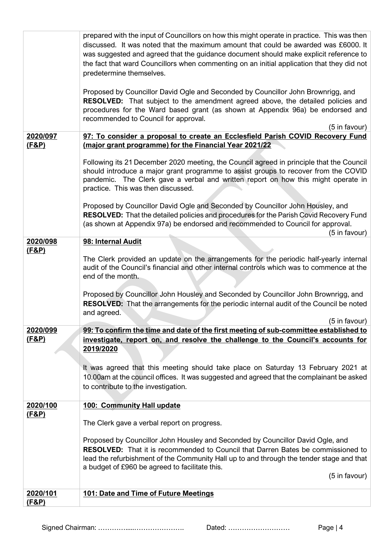|                              | prepared with the input of Councillors on how this might operate in practice. This was then<br>discussed. It was noted that the maximum amount that could be awarded was £6000. It<br>was suggested and agreed that the guidance document should make explicit reference to<br>the fact that ward Councillors when commenting on an initial application that they did not<br>predetermine themselves.<br>Proposed by Councillor David Ogle and Seconded by Councillor John Brownrigg, and<br><b>RESOLVED:</b> That subject to the amendment agreed above, the detailed policies and<br>procedures for the Ward based grant (as shown at Appendix 96a) be endorsed and<br>recommended to Council for approval. |
|------------------------------|---------------------------------------------------------------------------------------------------------------------------------------------------------------------------------------------------------------------------------------------------------------------------------------------------------------------------------------------------------------------------------------------------------------------------------------------------------------------------------------------------------------------------------------------------------------------------------------------------------------------------------------------------------------------------------------------------------------|
| 2020/097                     | (5 in favour)                                                                                                                                                                                                                                                                                                                                                                                                                                                                                                                                                                                                                                                                                                 |
| <u>(F&amp;P)</u>             | 97: To consider a proposal to create an Ecclesfield Parish COVID Recovery Fund<br>(major grant programme) for the Financial Year 2021/22                                                                                                                                                                                                                                                                                                                                                                                                                                                                                                                                                                      |
|                              | Following its 21 December 2020 meeting, the Council agreed in principle that the Council<br>should introduce a major grant programme to assist groups to recover from the COVID<br>pandemic. The Clerk gave a verbal and written report on how this might operate in<br>practice. This was then discussed.                                                                                                                                                                                                                                                                                                                                                                                                    |
|                              | Proposed by Councillor David Ogle and Seconded by Councillor John Housley, and<br>RESOLVED: That the detailed policies and procedures for the Parish Covid Recovery Fund<br>(as shown at Appendix 97a) be endorsed and recommended to Council for approval.<br>(5 in favour)                                                                                                                                                                                                                                                                                                                                                                                                                                  |
| 2020/098                     | 98: Internal Audit                                                                                                                                                                                                                                                                                                                                                                                                                                                                                                                                                                                                                                                                                            |
| <u>(F&amp;P)</u>             | The Clerk provided an update on the arrangements for the periodic half-yearly internal<br>audit of the Council's financial and other internal controls which was to commence at the<br>end of the month.                                                                                                                                                                                                                                                                                                                                                                                                                                                                                                      |
|                              | Proposed by Councillor John Housley and Seconded by Councillor John Brownrigg, and<br><b>RESOLVED:</b> That the arrangements for the periodic internal audit of the Council be noted<br>and agreed.<br>(5 in favour)                                                                                                                                                                                                                                                                                                                                                                                                                                                                                          |
| 2020/099                     | 99: To confirm the time and date of the first meeting of sub-committee established to                                                                                                                                                                                                                                                                                                                                                                                                                                                                                                                                                                                                                         |
| <u>(F&amp;P)</u>             | investigate, report on, and resolve the challenge to the Council's accounts for<br>2019/2020                                                                                                                                                                                                                                                                                                                                                                                                                                                                                                                                                                                                                  |
|                              | It was agreed that this meeting should take place on Saturday 13 February 2021 at<br>10.00am at the council offices. It was suggested and agreed that the complainant be asked<br>to contribute to the investigation.                                                                                                                                                                                                                                                                                                                                                                                                                                                                                         |
| 2020/100                     | 100: Community Hall update                                                                                                                                                                                                                                                                                                                                                                                                                                                                                                                                                                                                                                                                                    |
| <u>(F&amp;P)</u>             | The Clerk gave a verbal report on progress.                                                                                                                                                                                                                                                                                                                                                                                                                                                                                                                                                                                                                                                                   |
|                              | Proposed by Councillor John Housley and Seconded by Councillor David Ogle, and<br><b>RESOLVED:</b> That it is recommended to Council that Darren Bates be commissioned to<br>lead the refurbishment of the Community Hall up to and through the tender stage and that<br>a budget of £960 be agreed to facilitate this.                                                                                                                                                                                                                                                                                                                                                                                       |
|                              | (5 in favour)                                                                                                                                                                                                                                                                                                                                                                                                                                                                                                                                                                                                                                                                                                 |
| 2020/101<br><u>(F&amp;P)</u> | 101: Date and Time of Future Meetings                                                                                                                                                                                                                                                                                                                                                                                                                                                                                                                                                                                                                                                                         |